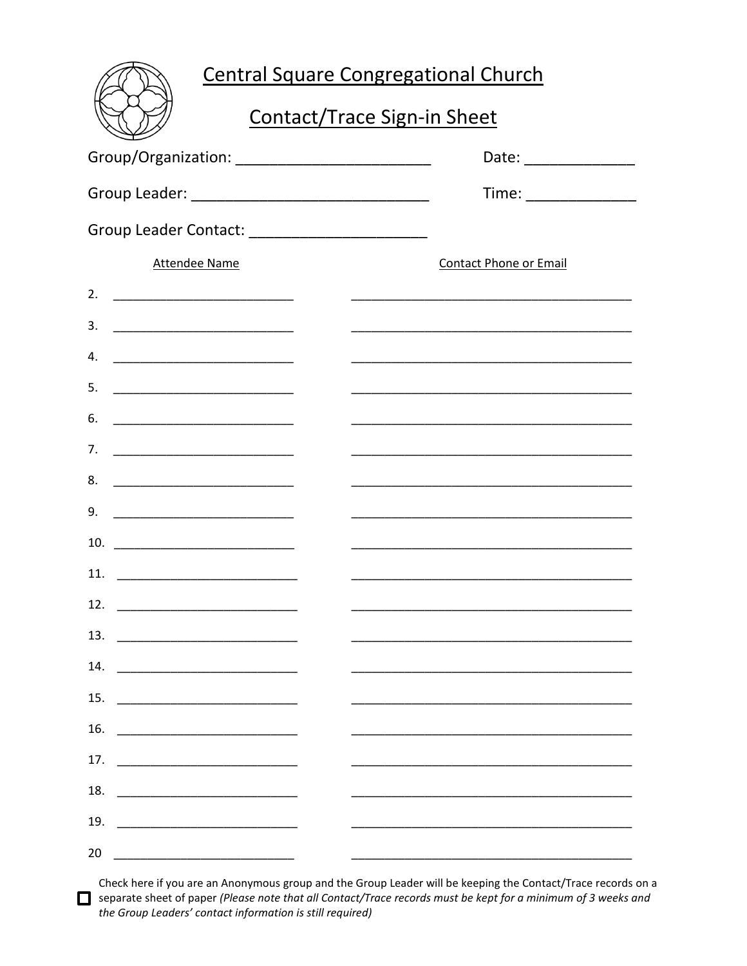| <b>Central Square Congregational Church</b>                                                                                  |                                                                                                                       |  |
|------------------------------------------------------------------------------------------------------------------------------|-----------------------------------------------------------------------------------------------------------------------|--|
| <b>Contact/Trace Sign-in Sheet</b>                                                                                           |                                                                                                                       |  |
| Group/Organization: _____________________________                                                                            | Date: __________________                                                                                              |  |
|                                                                                                                              | Time: ________________                                                                                                |  |
| Group Leader Contact: ___________________________                                                                            |                                                                                                                       |  |
| <b>Attendee Name</b>                                                                                                         | <b>Contact Phone or Email</b>                                                                                         |  |
| 2. $\qquad \qquad$                                                                                                           | <u> 1989 - Johann John Stoff, deutscher Stoffen und der Stoffen und der Stoffen und der Stoffen und der Stoffen u</u> |  |
| 3.                                                                                                                           |                                                                                                                       |  |
| 4.                                                                                                                           | <u> 1989 - Johann John Stone, mars et al. (1989)</u>                                                                  |  |
| 5.                                                                                                                           |                                                                                                                       |  |
| 6.                                                                                                                           | <u> 1989 - Johann John Stoff, deutscher Stoffen und der Stoffen und der Stoffen und der Stoffen und der Stoffen u</u> |  |
| 7.<br><u> 1980 - Jan Barnett, fransk politik (d. 1980)</u>                                                                   |                                                                                                                       |  |
|                                                                                                                              | <u> 1980 - Jan James James James James James James James James James James James James James James James James J</u>  |  |
| 9.                                                                                                                           |                                                                                                                       |  |
| 10.                                                                                                                          | <u> 1989 - Johann John Stoff, deutscher Stoffen und der Stoffen und der Stoffen und der Stoffen und der Stoffen u</u> |  |
| 11.<br><u> 1989 - Johann Barn, mars and de Branch Barn, mars and de Branch Barn, mars and de Branch Barn, mars and de Br</u> |                                                                                                                       |  |
| 12.                                                                                                                          |                                                                                                                       |  |
| 13.                                                                                                                          |                                                                                                                       |  |
| 14.                                                                                                                          |                                                                                                                       |  |
| 15.                                                                                                                          |                                                                                                                       |  |
| 16.                                                                                                                          |                                                                                                                       |  |
| 17.                                                                                                                          |                                                                                                                       |  |
| 18.                                                                                                                          |                                                                                                                       |  |
| 19.<br><u> 1990 - Johann John Harry Harry Harry Harry Harry Harry Harry Harry Harry Harry Harry Harry Harry Harry Harry</u>  |                                                                                                                       |  |
| 20                                                                                                                           |                                                                                                                       |  |

Check here if you are an Anonymous group and the Group Leader will be keeping the Contact/Trace records on a Separate sheet of paper (Please note that all Contact/Trace records must be kept for a minimum of 3 weeks and the Group Leaders' contact information is still required)